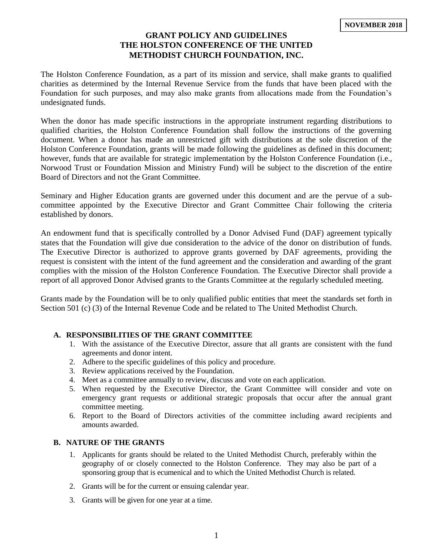# **GRANT POLICY AND GUIDELINES THE HOLSTON CONFERENCE OF THE UNITED METHODIST CHURCH FOUNDATION, INC.**

The Holston Conference Foundation, as a part of its mission and service, shall make grants to qualified charities as determined by the Internal Revenue Service from the funds that have been placed with the Foundation for such purposes, and may also make grants from allocations made from the Foundation's undesignated funds.

When the donor has made specific instructions in the appropriate instrument regarding distributions to qualified charities, the Holston Conference Foundation shall follow the instructions of the governing document. When a donor has made an unrestricted gift with distributions at the sole discretion of the Holston Conference Foundation, grants will be made following the guidelines as defined in this document; however, funds that are available for strategic implementation by the Holston Conference Foundation (i.e., Norwood Trust or Foundation Mission and Ministry Fund) will be subject to the discretion of the entire Board of Directors and not the Grant Committee.

Seminary and Higher Education grants are governed under this document and are the pervue of a subcommittee appointed by the Executive Director and Grant Committee Chair following the criteria established by donors.

An endowment fund that is specifically controlled by a Donor Advised Fund (DAF) agreement typically states that the Foundation will give due consideration to the advice of the donor on distribution of funds. The Executive Director is authorized to approve grants governed by DAF agreements, providing the request is consistent with the intent of the fund agreement and the consideration and awarding of the grant complies with the mission of the Holston Conference Foundation. The Executive Director shall provide a report of all approved Donor Advised grants to the Grants Committee at the regularly scheduled meeting.

Grants made by the Foundation will be to only qualified public entities that meet the standards set forth in Section 501 (c) (3) of the Internal Revenue Code and be related to The United Methodist Church.

## **A. RESPONSIBILITIES OF THE GRANT COMMITTEE**

- 1. With the assistance of the Executive Director, assure that all grants are consistent with the fund agreements and donor intent.
- 2. Adhere to the specific guidelines of this policy and procedure.
- 3. Review applications received by the Foundation.
- 4. Meet as a committee annually to review, discuss and vote on each application.
- 5. When requested by the Executive Director, the Grant Committee will consider and vote on emergency grant requests or additional strategic proposals that occur after the annual grant committee meeting.
- 6. Report to the Board of Directors activities of the committee including award recipients and amounts awarded.

#### **B. NATURE OF THE GRANTS**

- 1. Applicants for grants should be related to the United Methodist Church, preferably within the geography of or closely connected to the Holston Conference. They may also be part of a sponsoring group that is ecumenical and to which the United Methodist Church is related.
- 2. Grants will be for the current or ensuing calendar year.
- 3. Grants will be given for one year at a time.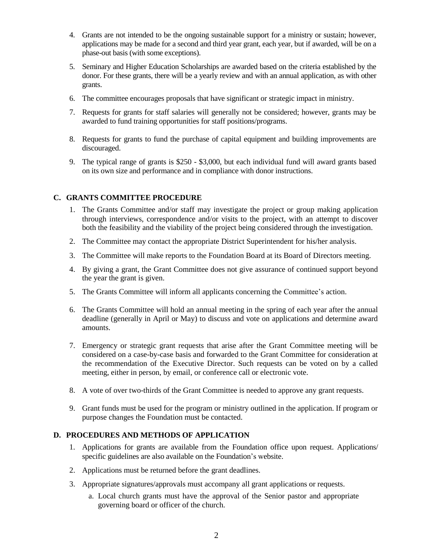- 4. Grants are not intended to be the ongoing sustainable support for a ministry or sustain; however, applications may be made for a second and third year grant, each year, but if awarded, will be on a phase-out basis (with some exceptions).
- 5. Seminary and Higher Education Scholarships are awarded based on the criteria established by the donor. For these grants, there will be a yearly review and with an annual application, as with other grants.
- 6. The committee encourages proposals that have significant or strategic impact in ministry.
- 7. Requests for grants for staff salaries will generally not be considered; however, grants may be awarded to fund training opportunities for staff positions/programs.
- 8. Requests for grants to fund the purchase of capital equipment and building improvements are discouraged.
- 9. The typical range of grants is \$250 \$3,000, but each individual fund will award grants based on its own size and performance and in compliance with donor instructions.

## **C. GRANTS COMMITTEE PROCEDURE**

- 1. The Grants Committee and/or staff may investigate the project or group making application through interviews, correspondence and/or visits to the project, with an attempt to discover both the feasibility and the viability of the project being considered through the investigation.
- 2. The Committee may contact the appropriate District Superintendent for his/her analysis.
- 3. The Committee will make reports to the Foundation Board at its Board of Directors meeting.
- 4. By giving a grant, the Grant Committee does not give assurance of continued support beyond the year the grant is given.
- 5. The Grants Committee will inform all applicants concerning the Committee's action.
- 6. The Grants Committee will hold an annual meeting in the spring of each year after the annual deadline (generally in April or May) to discuss and vote on applications and determine award amounts.
- 7. Emergency or strategic grant requests that arise after the Grant Committee meeting will be considered on a case-by-case basis and forwarded to the Grant Committee for consideration at the recommendation of the Executive Director. Such requests can be voted on by a called meeting, either in person, by email, or conference call or electronic vote.
- 8. A vote of over two-thirds of the Grant Committee is needed to approve any grant requests.
- 9. Grant funds must be used for the program or ministry outlined in the application. If program or purpose changes the Foundation must be contacted.

#### **D. PROCEDURES AND METHODS OF APPLICATION**

- 1. Applications for grants are available from the Foundation office upon request. Applications/ specific guidelines are also available on the Foundation's website.
- 2. Applications must be returned before the grant deadlines.
- 3. Appropriate signatures/approvals must accompany all grant applications or requests.
	- a. Local church grants must have the approval of the Senior pastor and appropriate governing board or officer of the church.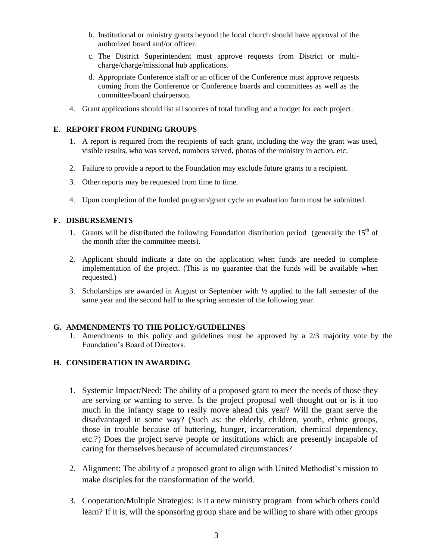- b. Institutional or ministry grants beyond the local church should have approval of the authorized board and/or officer.
- c. The District Superintendent must approve requests from District or multicharge/charge/missional hub applications.
- d. Appropriate Conference staff or an officer of the Conference must approve requests coming from the Conference or Conference boards and committees as well as the committee/board chairperson.
- 4. Grant applications should list all sources of total funding and a budget for each project.

## **E. REPORT FROM FUNDING GROUPS**

- 1. A report is required from the recipients of each grant, including the way the grant was used, visible results, who was served, numbers served, photos of the ministry in action, etc.
- 2. Failure to provide a report to the Foundation may exclude future grants to a recipient.
- 3. Other reports may be requested from time to time.
- 4. Upon completion of the funded program/grant cycle an evaluation form must be submitted.

## **F. DISBURSEMENTS**

- 1. Grants will be distributed the following Foundation distribution period (generally the  $15<sup>th</sup>$  of the month after the committee meets).
- 2. Applicant should indicate a date on the application when funds are needed to complete implementation of the project. (This is no guarantee that the funds will be available when requested.)
- 3. Scholarships are awarded in August or September with ½ applied to the fall semester of the same year and the second half to the spring semester of the following year.

#### **G. AMMENDMENTS TO THE POLICY/GUIDELINES**

1. Amendments to this policy and guidelines must be approved by a 2/3 majority vote by the Foundation's Board of Directors.

## **H. CONSIDERATION IN AWARDING**

- 1. Systemic Impact/Need: The ability of a proposed grant to meet the needs of those they are serving or wanting to serve. Is the project proposal well thought out or is it too much in the infancy stage to really move ahead this year? Will the grant serve the disadvantaged in some way? (Such as: the elderly, children, youth, ethnic groups, those in trouble because of battering, hunger, incarceration, chemical dependency, etc.?) Does the project serve people or institutions which are presently incapable of caring for themselves because of accumulated circumstances?
- 2. Alignment: The ability of a proposed grant to align with United Methodist's mission to make disciples for the transformation of the world.
- 3. Cooperation/Multiple Strategies: Is it a new ministry program from which others could learn? If it is, will the sponsoring group share and be willing to share with other groups